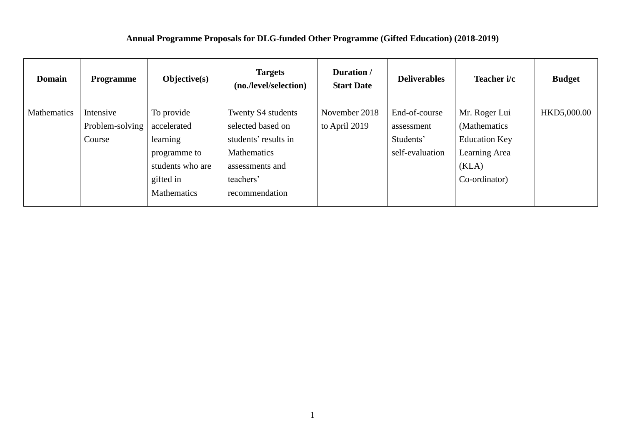## **Annual Programme Proposals for DLG-funded Other Programme (Gifted Education) (2018-2019)**

| <b>Domain</b> | <b>Programme</b>                       | Objective(s)                                                                                          | <b>Targets</b><br>(no./level/selection)                                                                                                 | Duration /<br><b>Start Date</b> | <b>Deliverables</b>                                         | Teacher i/c                                                                                       | <b>Budget</b> |
|---------------|----------------------------------------|-------------------------------------------------------------------------------------------------------|-----------------------------------------------------------------------------------------------------------------------------------------|---------------------------------|-------------------------------------------------------------|---------------------------------------------------------------------------------------------------|---------------|
| Mathematics   | Intensive<br>Problem-solving<br>Course | To provide<br>accelerated<br>learning<br>programme to<br>students who are<br>gifted in<br>Mathematics | Twenty S4 students<br>selected based on<br>students' results in<br><b>Mathematics</b><br>assessments and<br>teachers'<br>recommendation | November 2018<br>to April 2019  | End-of-course<br>assessment<br>Students'<br>self-evaluation | Mr. Roger Lui<br>(Mathematics)<br><b>Education Key</b><br>Learning Area<br>(KLA)<br>Co-ordinator) | HKD5,000.00   |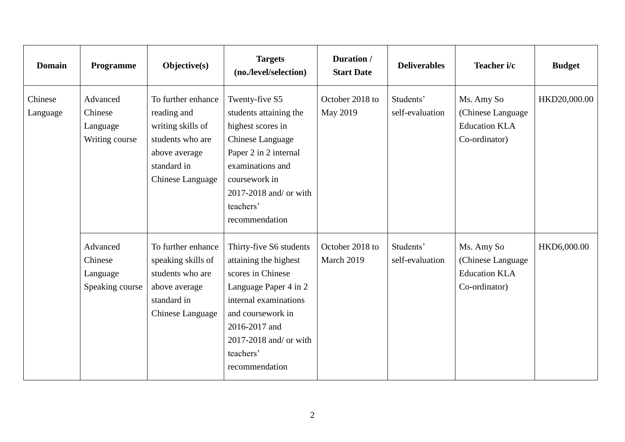| <b>Domain</b>       | Programme                                          | $Objective(s)$                                                                                                                        | <b>Targets</b><br>(no./level/selection)                                                                                                                                                                                | Duration /<br><b>Start Date</b> | <b>Deliverables</b>          | Teacher i/c                                                              | <b>Budget</b> |
|---------------------|----------------------------------------------------|---------------------------------------------------------------------------------------------------------------------------------------|------------------------------------------------------------------------------------------------------------------------------------------------------------------------------------------------------------------------|---------------------------------|------------------------------|--------------------------------------------------------------------------|---------------|
| Chinese<br>Language | Advanced<br>Chinese<br>Language<br>Writing course  | To further enhance<br>reading and<br>writing skills of<br>students who are<br>above average<br>standard in<br><b>Chinese Language</b> | Twenty-five S5<br>students attaining the<br>highest scores in<br>Chinese Language<br>Paper 2 in 2 internal<br>examinations and<br>coursework in<br>2017-2018 and/ or with<br>teachers'<br>recommendation               | October 2018 to<br>May 2019     | Students'<br>self-evaluation | Ms. Amy So<br>(Chinese Language<br><b>Education KLA</b><br>Co-ordinator) | HKD20,000.00  |
|                     | Advanced<br>Chinese<br>Language<br>Speaking course | To further enhance<br>speaking skills of<br>students who are<br>above average<br>standard in<br>Chinese Language                      | Thirty-five S6 students<br>attaining the highest<br>scores in Chinese<br>Language Paper 4 in 2<br>internal examinations<br>and coursework in<br>2016-2017 and<br>2017-2018 and/ or with<br>teachers'<br>recommendation | October 2018 to<br>March 2019   | Students'<br>self-evaluation | Ms. Amy So<br>(Chinese Language<br><b>Education KLA</b><br>Co-ordinator) | HKD6,000.00   |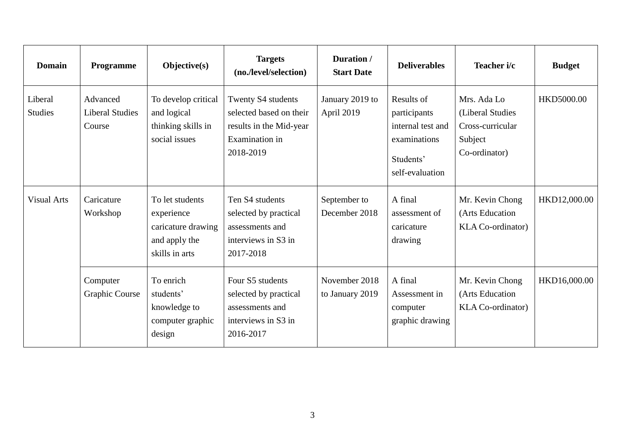| <b>Domain</b>             | Programme                                    | Objective(s)                                                                           | <b>Targets</b><br>(no./level/selection)                                                                 | Duration /<br><b>Start Date</b>  | <b>Deliverables</b>                                                                             | Teacher i/c                                                                     | <b>Budget</b> |
|---------------------------|----------------------------------------------|----------------------------------------------------------------------------------------|---------------------------------------------------------------------------------------------------------|----------------------------------|-------------------------------------------------------------------------------------------------|---------------------------------------------------------------------------------|---------------|
| Liberal<br><b>Studies</b> | Advanced<br><b>Liberal Studies</b><br>Course | To develop critical<br>and logical<br>thinking skills in<br>social issues              | Twenty S4 students<br>selected based on their<br>results in the Mid-year<br>Examination in<br>2018-2019 | January 2019 to<br>April 2019    | Results of<br>participants<br>internal test and<br>examinations<br>Students'<br>self-evaluation | Mrs. Ada Lo<br>(Liberal Studies<br>Cross-curricular<br>Subject<br>Co-ordinator) | HKD5000.00    |
| <b>Visual Arts</b>        | Caricature<br>Workshop                       | To let students<br>experience<br>caricature drawing<br>and apply the<br>skills in arts | Ten S4 students<br>selected by practical<br>assessments and<br>interviews in S3 in<br>2017-2018         | September to<br>December 2018    | A final<br>assessment of<br>caricature<br>drawing                                               | Mr. Kevin Chong<br>(Arts Education<br><b>KLA Co-ordinator</b> )                 | HKD12,000.00  |
|                           | Computer<br><b>Graphic Course</b>            | To enrich<br>students'<br>knowledge to<br>computer graphic<br>design                   | Four S5 students<br>selected by practical<br>assessments and<br>interviews in S3 in<br>2016-2017        | November 2018<br>to January 2019 | A final<br>Assessment in<br>computer<br>graphic drawing                                         | Mr. Kevin Chong<br>(Arts Education<br><b>KLA Co-ordinator</b> )                 | HKD16,000.00  |